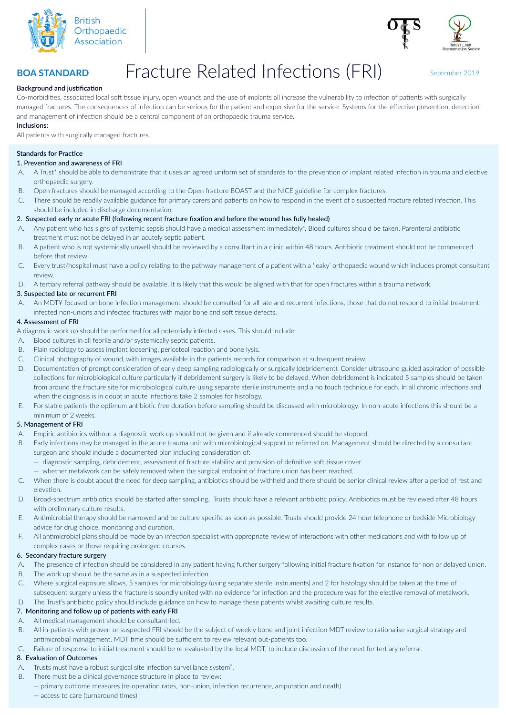



# Fracture Related Infections (FRI) September 2019

## **Background and justification**

**BOA STANDARD**

Co-morbidities, associated local soft tissue injury, open wounds and the use of implants all increase the vulnerability to infection of patients with surgically managed fractures. The consequences of infection can be serious for the patient and expensive for the service. Systems for the effective prevention, detection and management of infection should be a central component of an orthopaedic trauma service.

## **Inclusions:**

All patients with surgically managed fractures.

## **Standards for Practice**

# 1. Prevention and awareness of FRI

- A. A Trust\* should be able to demonstrate that it uses an agreed uniform set of standards for the prevention of implant related infection in trauma and elective orthopaedic surgery.
- B. Open fractures should be managed according to the Open fracture BOAST and the NICE guideline for complex fractures.
- C. There should be readily available guidance for primary carers and patients on how to respond in the event of a suspected fracture related infection. This should be included in discharge documentation.

## 2. Suspected early or acute FRI (following recent fracture fixation and before the wound has fully healed)

- A. Any patient who has signs of systemic sepsis should have a medical assessment immediately<sup>4</sup>. Blood cultures should be taken. Parenteral antibiotic treatment must not be delayed in an acutely septic patient.
- B. A patient who is not systemically unwell should be reviewed by a consultant in a clinic within 48 hours. Antibiotic treatment should not be commenced before that review.
- C. Every trust/hospital must have a policy relating to the pathway management of a patient with a 'leaky' orthopaedic wound which includes prompt consultant review.
- D. A tertiary referral pathway should be available. It is likely that this would be aligned with that for open fractures within a trauma network.

#### 3. Suspected late or recurrent FRI

A. An MDT¥ focused on bone infection management should be consulted for all late and recurrent infections, those that do not respond to initial treatment, infected non-unions and infected fractures with major bone and soft tissue defects.

#### 4. Assessment of FRI

A diagnostic work up should be performed for all potentially infected cases. This should include:

- A. Blood cultures in all febrile and/or systemically septic patients.
- B. Plain radiology to assess implant loosening, periosteal reaction and bone lysis.
- C. Clinical photography of wound, with images available in the patients records for comparison at subsequent review.
- D. Documentation of prompt consideration of early deep sampling radiologically or surgically (debridement). Consider ultrasound guided aspiration of possible collections for microbiological culture particularly if debridement surgery is likely to be delayed. When debridement is indicated 5 samples should be taken from around the fracture site for microbiological culture using separate sterile instruments and a no touch technique for each. In all chronic infections and when the diagnosis is in doubt in acute infections take 2 samples for histology.
- E. For stable patients the optimum antibiotic free duration before sampling should be discussed with microbiology. In non-acute infections this should be a minimum of 2 weeks.

#### 5. Management of FRI

- A. Empiric antibiotics without a diagnostic work up should not be given and if already commenced should be stopped.
- B. Early infections may be managed in the acute trauma unit with microbiological support or referred on. Management should be directed by a consultant surgeon and should include a documented plan including consideration of:
	- diagnostic sampling, debridement, assessment of fracture stability and provision of definitive soft tissue cover.
	- whether metalwork can be safely removed when the surgical endpoint of fracture union has been reached.
- C. When there is doubt about the need for deep sampling, antibiotics should be withheld and there should be senior clinical review after a period of rest and elevation.
- D. Broad-spectrum antibiotics should be started after sampling. Trusts should have a relevant antibiotic policy. Antibiotics must be reviewed after 48 hours with preliminary culture results.
- E. Antimicrobial therapy should be narrowed and be culture specific as soon as possible. Trusts should provide 24 hour telephone or bedside Microbiology advice for drug choice, monitoring and duration.
- F. All antimicrobial plans should be made by an infection specialist with appropriate review of interactions with other medications and with follow up of complex cases or those requiring prolonged courses.

#### 6. Secondary fracture surgery

- A. The presence of infection should be considered in any patient having further surgery following initial fracture fixation for instance for non or delayed union.
- B. The work up should be the same as in a suspected infection.
- C. Where surgical exposure allows, 5 samples for microbiology (using separate sterile instruments) and 2 for histology should be taken at the time of subsequent surgery unless the fracture is soundly united with no evidence for infection and the procedure was for the elective removal of metalwork.
- D. The Trust's antibiotic policy should include guidance on how to manage these patients whilst awaiting culture results.

# 7. Monitoring and follow up of patients with early FRI

- A. All medical management should be consultant-led.
- B. All in-patients with proven or suspected FRI should be the subject of weekly bone and joint infection MDT review to rationalise surgical strategy and antimicrobial management. MDT time should be sufficient to review relevant out-patients too.
- C. Failure of response to initial treatment should be re-evaluated by the local MDT, to include discussion of the need for tertiary referral.

# 8. Evaluation of Outcomes

- A. Trusts must have a robust surgical site infection surveillance system<sup>5</sup>.
- B. There must be a clinical governance structure in place to review:
	- primary outcome measures (re-operation rates, non-union, infection recurrence, amputation and death)
		- access to care (turnaround times)